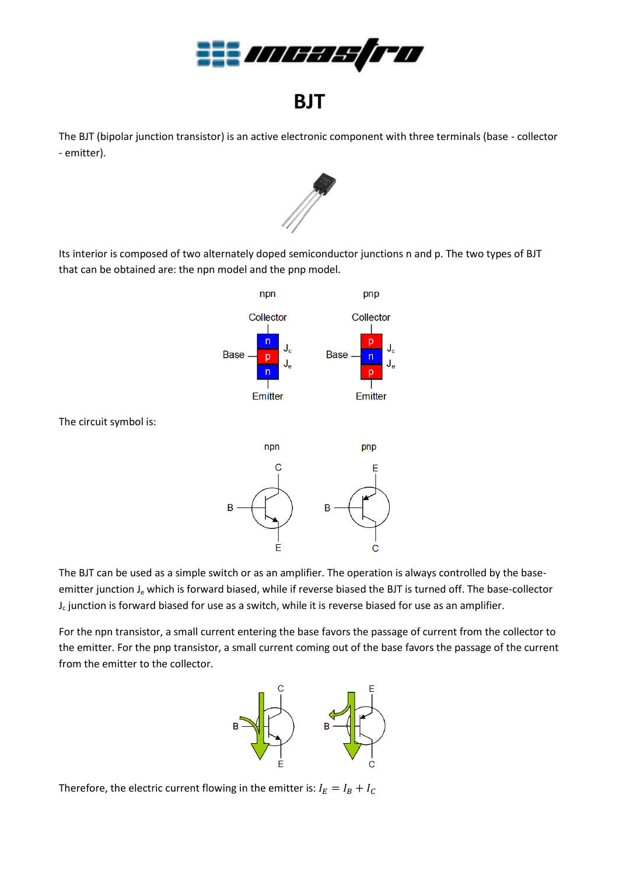

## **BJT**

The BJT (bipolar junction transistor) is an active electronic component with three terminals (base - collector - emitter).



Its interior is composed of two alternately doped semiconductor junctions n and p. The two types of BJT that can be obtained are: the npn model and the pnp model.



The circuit symbol is:



The BJT can be used as a simple switch or as an amplifier. The operation is always controlled by the baseemitter junction J<sub>e</sub> which is forward biased, while if reverse biased the BJT is turned off. The base-collector J<sub>c</sub> junction is forward biased for use as a switch, while it is reverse biased for use as an amplifier.

For the npn transistor, a small current entering the base favors the passage of current from the collector to the emitter. For the pnp transistor, a small current coming out of the base favors the passage of the current from the emitter to the collector.



Therefore, the electric current flowing in the emitter is:  $I_E = I_B + I_C$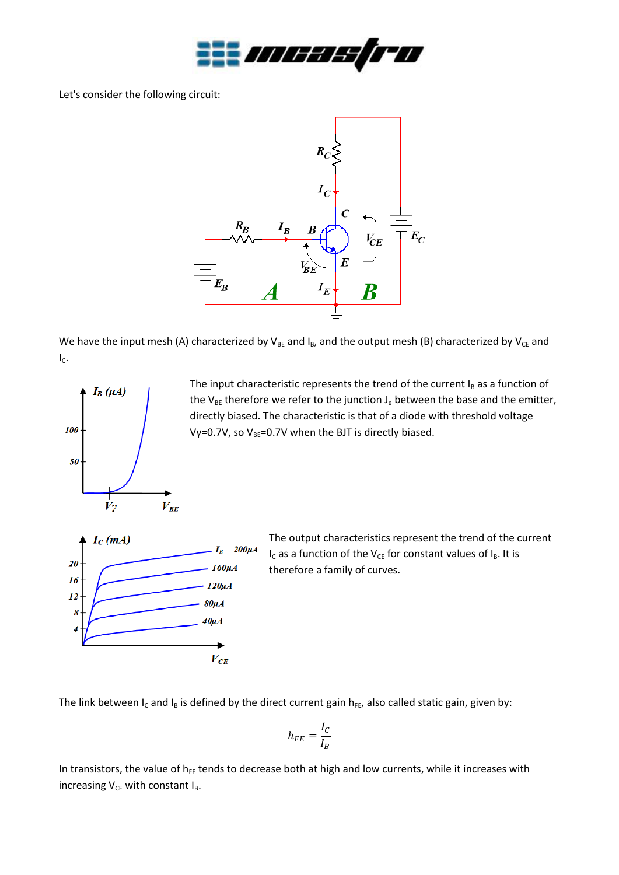

Let's consider the following circuit:



We have the input mesh (A) characterized by  $V_{BE}$  and  $I_B$ , and the output mesh (B) characterized by  $V_{CE}$  and  $I_{C}$ .



The input characteristic represents the trend of the current  $I_B$  as a function of the  $V_{BE}$  therefore we refer to the junction  $J_e$  between the base and the emitter, directly biased. The characteristic is that of a diode with threshold voltage Vγ=0.7V, so V<sub>BE</sub>=0.7V when the BJT is directly biased.



The output characteristics represent the trend of the current  $I_C$  as a function of the V<sub>CE</sub> for constant values of  $I_B$ . It is therefore a family of curves.

The link between I<sub>c</sub> and I<sub>B</sub> is defined by the direct current gain  $h_{FE}$ , also called static gain, given by:

$$
h_{FE}=\frac{I_C}{I_B}
$$

In transistors, the value of  $h_{FE}$  tends to decrease both at high and low currents, while it increases with increasing  $V_{CE}$  with constant  $I_B$ .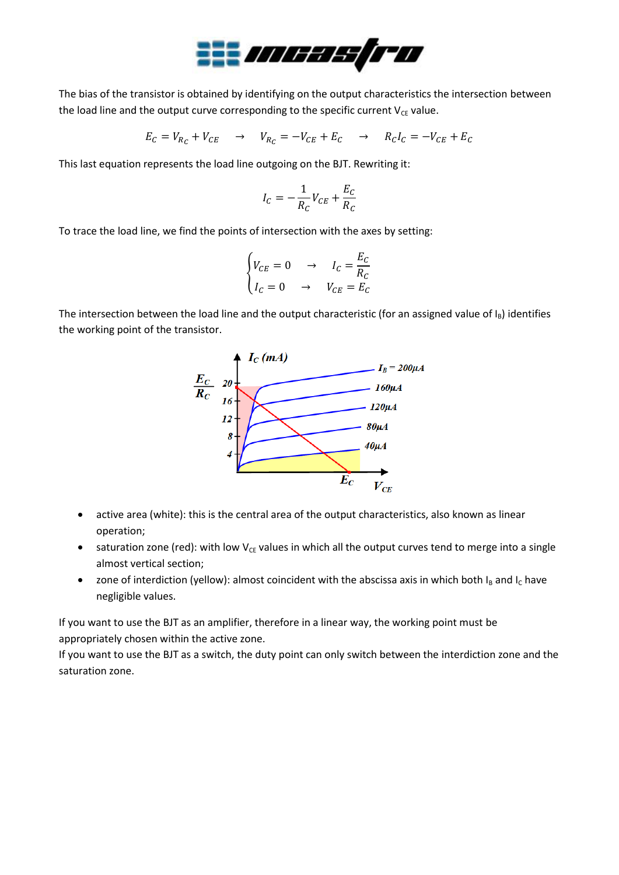

The bias of the transistor is obtained by identifying on the output characteristics the intersection between the load line and the output curve corresponding to the specific current  $V_{CE}$  value.

$$
E_C = V_{R_C} + V_{CE} \quad \rightarrow \quad V_{R_C} = -V_{CE} + E_C \quad \rightarrow \quad R_C I_C = -V_{CE} + E_C
$$

This last equation represents the load line outgoing on the BJT. Rewriting it:

$$
I_C = -\frac{1}{R_C}V_{CE} + \frac{E_C}{R_C}
$$

To trace the load line, we find the points of intersection with the axes by setting:

$$
\begin{cases}\n V_{CE} = 0 & \to & I_C = \frac{E_C}{R_C} \\
I_C = 0 & \to & V_{CE} = E_C\n\end{cases}
$$

The intersection between the load line and the output characteristic (for an assigned value of  $I_B$ ) identifies the working point of the transistor.



- active area (white): this is the central area of the output characteristics, also known as linear operation;
- saturation zone (red): with low  $V_{CE}$  values in which all the output curves tend to merge into a single almost vertical section;
- zone of interdiction (yellow): almost coincident with the abscissa axis in which both  $I_B$  and  $I_C$  have negligible values.

If you want to use the BJT as an amplifier, therefore in a linear way, the working point must be appropriately chosen within the active zone.

If you want to use the BJT as a switch, the duty point can only switch between the interdiction zone and the saturation zone.